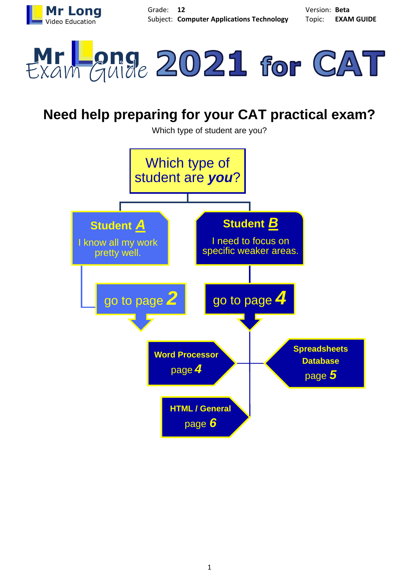



# **Need help preparing for your CAT practical exam?**

Which type of student are you?

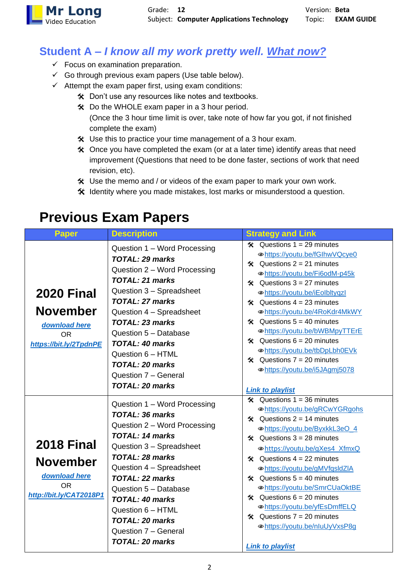

#### **Student A –** *I know all my work pretty well. What now?*

- $\checkmark$  Focus on examination preparation.
- $\checkmark$  Go through previous exam papers (Use table below).
- $\checkmark$  Attempt the exam paper first, using exam conditions:
	- Don't use any resources like notes and textbooks.
	- Do the WHOLE exam paper in a 3 hour period.
		- (Once the 3 hour time limit is over, take note of how far you got, if not finished complete the exam)
	- Use this to practice your time management of a 3 hour exam.
	- Once you have completed the exam (or at a later time) identify areas that need improvement (Questions that need to be done faster, sections of work that need revision, etc).
	- $*$  Use the memo and / or videos of the exam paper to mark your own work.
	- Identity where you made mistakes, lost marks or misunderstood a question.

### **Previous Exam Papers**

| Paper                                                                                         | <b>Description</b>                                                                                                                                                                                                                                                                                                                                                 | <b>Strategy and Link</b>                                                                                                                                                                                                                                                                                                                                                                                                                                                                                                                |
|-----------------------------------------------------------------------------------------------|--------------------------------------------------------------------------------------------------------------------------------------------------------------------------------------------------------------------------------------------------------------------------------------------------------------------------------------------------------------------|-----------------------------------------------------------------------------------------------------------------------------------------------------------------------------------------------------------------------------------------------------------------------------------------------------------------------------------------------------------------------------------------------------------------------------------------------------------------------------------------------------------------------------------------|
| <b>2020 Final</b><br><b>November</b><br>download here<br><b>OR</b><br>https://bit.ly/2TpdnPE  | Question 1 - Word Processing<br>TOTAL: 29 marks<br>Question 2 - Word Processing<br><b>TOTAL: 21 marks</b><br>Question 3 - Spreadsheet<br><b>TOTAL: 27 marks</b><br>Question 4 - Spreadsheet<br>TOTAL: 23 marks<br>Question 5 - Database<br><b>TOTAL: 40 marks</b><br>Question 6 - HTML<br><b>TOTAL: 20 marks</b><br>Question 7 - General<br><b>TOTAL: 20 marks</b> | $\angle$ Questions 1 = 29 minutes<br>·https://youtu.be/fGlhwVQcye0<br>$\angle$ Questions 2 = 21 minutes<br>· https://youtu.be/Fi6odM-p45k<br>$\hat{x}$ Questions 3 = 27 minutes<br>⊕https://youtu.be/iEolbltyqzl<br>$\angle$ Questions 4 = 23 minutes<br>· https://youtu.be/4RoKdr4MkWY<br>$\hat{x}$ Questions 5 = 40 minutes<br>·https://youtu.be/bWBMpyTTErE<br>$\hat{x}$ Questions 6 = 20 minutes<br>· https://youtu.be/tbDpLbh0EVk<br>$\angle$ Questions 7 = 20 minutes<br>⊕https://youtu.be/i5JAgmj5078<br><b>Link to playlist</b> |
| <b>2018 Final</b><br><b>November</b><br>download here<br><b>OR</b><br>http://bit.ly/CAT2018P1 | Question 1 – Word Processing<br><b>TOTAL: 36 marks</b><br>Question 2 - Word Processing<br><b>TOTAL: 14 marks</b><br>Question 3 - Spreadsheet<br>TOTAL: 28 marks<br>Question 4 - Spreadsheet<br>TOTAL: 22 marks<br>Question 5 - Database<br><b>TOTAL: 40 marks</b><br>Question 6 - HTML<br><b>TOTAL: 20 marks</b><br>Question 7 - General<br><b>TOTAL: 20 marks</b> | $\hat{x}$ Questions 1 = 36 minutes<br>⊕https://youtu.be/gRCwYGRgohs<br>$\hat{x}$ Questions 2 = 14 minutes<br>⊕https://youtu.be/ByxkkL3eO 4<br>$\angle$ Questions 3 = 28 minutes<br>·https://youtu.be/gXes4_XfmxQ<br>Questions $4 = 22$ minutes<br>≪<br>·https://youtu.be/gMVfqsIdZIA<br>$\hat{x}$ Questions 5 = 40 minutes<br>⊕https://youtu.be/SmrCUaOktBE<br>$\angle$ Questions 6 = 20 minutes<br>· https://youtu.be/yfEsDmffELQ<br>$\hat{x}$ Questions 7 = 20 minutes<br>⊕https://youtu.be/nluUyVxsP8g<br><b>Link to playlist</b>    |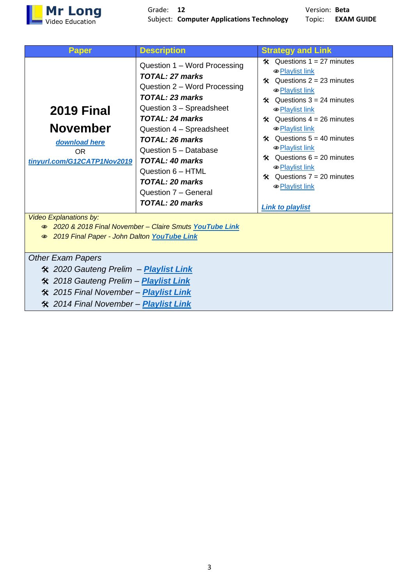

| Paper                                                                                                                                                                                               | <b>Description</b>                                                                                                                                                                                                                                                                                                                                                                                                      | <b>Strategy and Link</b>                                                                                                                                                                                                                                                                                                                                                                                                           |  |
|-----------------------------------------------------------------------------------------------------------------------------------------------------------------------------------------------------|-------------------------------------------------------------------------------------------------------------------------------------------------------------------------------------------------------------------------------------------------------------------------------------------------------------------------------------------------------------------------------------------------------------------------|------------------------------------------------------------------------------------------------------------------------------------------------------------------------------------------------------------------------------------------------------------------------------------------------------------------------------------------------------------------------------------------------------------------------------------|--|
| <b>2019 Final</b><br><b>November</b><br>download here<br><b>OR</b><br>tinyurl.com/G12CATP1Nov2019<br><b>Video Explanations by:</b><br>2019 Final Paper - John Dalton YouTube Link<br>$\circledcirc$ | Question 1 - Word Processing<br><b>TOTAL: 27 marks</b><br>Question 2 – Word Processing<br>TOTAL: 23 marks<br>Question 3 - Spreadsheet<br>TOTAL: 24 marks<br>Question 4 – Spreadsheet<br>TOTAL: 26 marks<br>Question 5 - Database<br><b>TOTAL: 40 marks</b><br>Question 6 - HTML<br><b>TOTAL: 20 marks</b><br>Question 7 - General<br><b>TOTAL: 20 marks</b><br>● 2020 & 2018 Final November - Claire Smuts YouTube Link | $\hat{x}$ Questions 1 = 27 minutes<br>· Playlist link<br>$\hat{x}$ Questions 2 = 23 minutes<br>$\hat{x}$ Questions 3 = 24 minutes<br>· Playlist link<br>$\angle$ Questions 4 = 26 minutes<br><b> ■</b> Playlist link<br>$\hat{x}$ Questions 5 = 40 minutes<br><b> ■</b> Playlist link<br>$\hat{x}$ Questions 6 = 20 minutes<br>· Playlist link<br>$\hat{x}$ Questions 7 = 20 minutes<br>· Playlist link<br><b>Link to playlist</b> |  |
| <b>Other Exam Papers</b>                                                                                                                                                                            |                                                                                                                                                                                                                                                                                                                                                                                                                         |                                                                                                                                                                                                                                                                                                                                                                                                                                    |  |
| <b>※</b> 2020 Gauteng Prelim – <b>Playlist Link</b>                                                                                                                                                 |                                                                                                                                                                                                                                                                                                                                                                                                                         |                                                                                                                                                                                                                                                                                                                                                                                                                                    |  |
| <b>※ 2018 Gauteng Prelim – Playlist Link</b>                                                                                                                                                        |                                                                                                                                                                                                                                                                                                                                                                                                                         |                                                                                                                                                                                                                                                                                                                                                                                                                                    |  |
| <b>※ 2015 Final November – Playlist Link</b>                                                                                                                                                        |                                                                                                                                                                                                                                                                                                                                                                                                                         |                                                                                                                                                                                                                                                                                                                                                                                                                                    |  |
| <b>※ 2014 Final November - Playlist Link</b>                                                                                                                                                        |                                                                                                                                                                                                                                                                                                                                                                                                                         |                                                                                                                                                                                                                                                                                                                                                                                                                                    |  |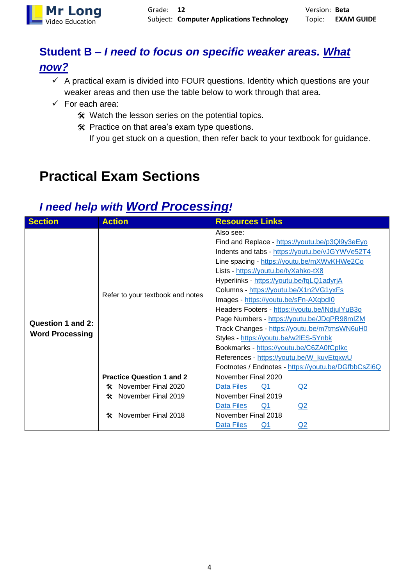

### **Student B –** *I need to focus on specific weaker areas. What now?*

- $\checkmark$  A practical exam is divided into FOUR questions. Identity which questions are your weaker areas and then use the table below to work through that area.
- $\checkmark$  For each area:
	- $*$  Watch the lesson series on the potential topics.
	- Practice on that area's exam type questions.
		- If you get stuck on a question, then refer back to your textbook for guidance.

## **Practical Exam Sections**

### *I need help with Word Processing!*

| <b>Section</b>                              | <b>Action</b>                                            | <b>Resources Links</b>                              |
|---------------------------------------------|----------------------------------------------------------|-----------------------------------------------------|
|                                             | Refer to your textbook and notes                         | Also see:                                           |
|                                             |                                                          | Find and Replace - https://youtu.be/p3Ql9y3eEyo     |
|                                             |                                                          | Indents and tabs - https://youtu.be/vJGYWVe52T4     |
|                                             |                                                          | Line spacing - https://youtu.be/mXWvKHWe2Co         |
|                                             |                                                          | Lists - https://youtu.be/tyXahko-tX8                |
|                                             |                                                          | Hyperlinks - https://youtu.be/fqLQ1adyrjA           |
|                                             |                                                          | Columns - https://youtu.be/X1n2VG1yxFs              |
| Question 1 and 2:<br><b>Word Processing</b> |                                                          | Images - https://youtu.be/sFn-AXqbdl0               |
|                                             |                                                          | Headers Footers - https://youtu.be/INdjulYuB3o      |
|                                             |                                                          | Page Numbers - https://youtu.be/JDqPR98mlZM         |
|                                             |                                                          | Track Changes - https://youtu.be/m7tmsWN6uH0        |
|                                             |                                                          | Styles - https://youtu.be/w2lES-5Ynbk               |
|                                             |                                                          | Bookmarks - https://youtu.be/C6ZA0fCplkc            |
|                                             |                                                          | References - https://youtu.be/W_kuvEtqxwU           |
|                                             |                                                          | Footnotes / Endnotes - https://youtu.be/DGfbbCsZi6Q |
|                                             | <b>Practice Question 1 and 2</b>                         | November Final 2020                                 |
|                                             | November Final 2020<br>X.                                | Data Files<br><u>Q1</u><br>Q2                       |
|                                             | <b>※</b> November Final 2019<br>November Final 2018<br>≪ | November Final 2019                                 |
|                                             |                                                          | Data Files<br>Q1<br>Q <sub>2</sub>                  |
|                                             |                                                          | November Final 2018                                 |
|                                             |                                                          | Data Files<br>Q2<br>$Q_1$                           |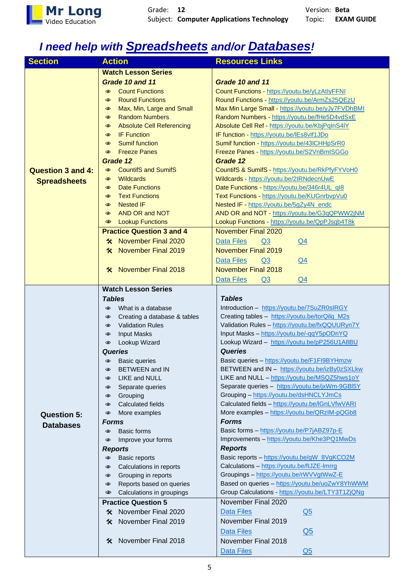

## *I need help with Spreadsheets and/or Databases!*

| <b>Section</b>           | <b>Action</b>                                           | <b>Resources Links</b>                             |
|--------------------------|---------------------------------------------------------|----------------------------------------------------|
|                          | <b>Watch Lesson Series</b>                              |                                                    |
|                          | Grade 10 and 11                                         | Grade 10 and 11                                    |
|                          | <b>Count Functions</b><br>$\circledcirc$                | Count Functions - https://youtu.be/yLzAtlyFFNI     |
|                          | <b>Round Functions</b><br>$\circledcirc$                | Round Functions - https://youtu.be/ArmZs25QEzU     |
|                          | Max, Min, Large and Small<br>$\circledcirc$             | Max Min Large Small - https://youtu.be/yJy7FVDhBMI |
|                          | <b>Random Numbers</b><br>$\circledcirc$                 | Random Numbers - https://youtu.be/fHe5D4vdSxE      |
|                          | <b>Absolute Cell Referencing</b><br>$\circledcirc$      | Absolute Cell Ref - https://youtu.be/KbjPqInS4IY   |
|                          | <b>IF Function</b><br>$\circledcirc$                    | IF function - https://youtu.be/IEs8vIf1JDo         |
|                          | <b>Sumif function</b><br>$\circledcirc$                 | Sumif function - https://youtu.be/43lCHHpSrR0      |
|                          | <b>Freeze Panes</b><br>$\circledcirc$                   | Freeze Panes - https://youtu.be/S2VnBmISGGo        |
|                          | Grade 12                                                | Grade 12                                           |
| <b>Question 3 and 4:</b> | <b>CountifS and SumifS</b><br>$\circledcirc$            | CountifS & SumifS - https://youtu.be/RkPfyFYVoH0   |
|                          | <b>Wildcards</b><br>$\circledcirc$                      | Wildcards - https://youtu.be/2IRNdecnUwE           |
| <b>Spreadsheets</b>      | <b>Date Functions</b><br>$\circledcirc$                 | Date Functions - https://youtu.be/346r4UL_ql8      |
|                          | <b>Text Functions</b><br>$\circledcirc$                 | Text Functions - https://youtu.be/KUGnrbvpVu0      |
|                          | <b>Nested IF</b><br>$\circledcirc$                      | Nested IF - https://youtu.be/5gZy4N_endc           |
|                          | AND OR and NOT<br>$\circledcirc$                        | AND OR and NOT - https://youtu.be/G3qQPWW2jNM      |
|                          | <b>Lookup Functions</b><br>$\circledcirc$               | Lookup Functions - https://youtu.be/QpPJsqb4T8k    |
|                          | <b>Practice Question 3 and 4</b>                        | <b>November Final 2020</b>                         |
|                          | <b>X</b> November Final 2020                            | Data Files<br>Q <sub>3</sub><br>Q <sub>4</sub>     |
|                          | <b>November Final 2019</b><br>℀                         | <b>November Final 2019</b>                         |
|                          |                                                         |                                                    |
|                          |                                                         | Data Files<br>Q3<br>$Q_4$                          |
|                          | <b>November Final 2018</b><br>$\boldsymbol{\mathsf{x}}$ | <b>November Final 2018</b>                         |
|                          |                                                         | Q4<br><b>Data Files</b><br>Q3                      |
|                          | <b>Watch Lesson Series</b>                              |                                                    |
|                          | <b>Tables</b>                                           | <b>Tables</b>                                      |
|                          | What is a database<br>$\circledcirc$                    | Introduction - https://youtu.be/7SuZR0sIRGY        |
|                          | Creating a database & tables<br>$\circledcirc$          | Creating tables - https://youtu.be/torQilq_M2s     |
|                          | <b>Validation Rules</b><br>$\circledcirc$               | Validation Rules - https://youtu.be/fxQQUURyn7Y    |
|                          | <b>Input Masks</b><br>$\circledcirc$                    | Input Masks - https://youtu.be/-qqY5pODnYQ         |
|                          | Lookup Wizard<br>◉                                      | Lookup Wizard - https://youtu.be/pP256U1A8BU       |
|                          | Queries                                                 | <b>Queries</b>                                     |
|                          | <b>Basic queries</b><br>$\circledcirc$                  | Basic queries - https://youtu.be/F1FI9BYHmzw       |
|                          | <b>BETWEEN and IN</b><br>◉                              | BETWEEN and IN - https://youtu.be/izBy0zSXLkw      |
|                          | LIKE and NULL<br>◉                                      | LIKE and NULL - https://youtu.be/MSQZ5hws1oY       |
|                          | Separate queries<br>◉                                   | Separate queries - https://youtu.be/jxWm-9GBI5Y    |
|                          | Grouping<br>◉                                           | Grouping - https://youtu.be/dsHNCLYJmCs            |
|                          | <b>Calculated fields</b><br>◉                           | Calculated fields - https://youtu.be/IGnLVfwVARI   |
| <b>Question 5:</b>       | More examples<br>◉                                      | More examples - https://youtu.be/QRzIM-pQGb8       |
| <b>Databases</b>         | <b>Forms</b>                                            | <b>Forms</b>                                       |
|                          | <b>Basic forms</b><br>$\circledcirc$                    | Basic forms - https://youtu.be/P7jABZ97p-E         |
|                          | Improve your forms<br>◉                                 | Improvements - https://youtu.be/Khe3PQ1MwDs        |
|                          | <b>Reports</b>                                          | <b>Reports</b>                                     |
|                          | Basic reports<br>$\circledcirc$                         | Basic reports - https://youtu.be/gW_8VgKCO2M       |
|                          | Calculations in reports<br>$\circledcirc$               | Calculations - https://youtu.be/flJZE-Imrrg        |
|                          | Grouping in reports<br>◉                                | Groupings - https://youtu.be/rWVVgtWwZ-E           |
|                          | Reports based on queries<br>◉                           | Based on queries - https://youtu.be/uoZwY8YhWWM    |
|                          | Calculations in groupings<br>◉                          | Group Calculations - https://youtu.be/LTY3T1ZjQNg  |
|                          | <b>Practice Question 5</b>                              | November Final 2020                                |
|                          | November Final 2020<br>X                                | Data Files<br>Q <sub>5</sub>                       |
|                          | November Final 2019<br>≪                                | November Final 2019                                |
|                          |                                                         | Data Files<br>Q <sub>5</sub>                       |
|                          | November Final 2018<br>℀                                | November Final 2018                                |
|                          |                                                         | <b>Data Files</b><br>Q <sub>5</sub>                |
|                          |                                                         |                                                    |